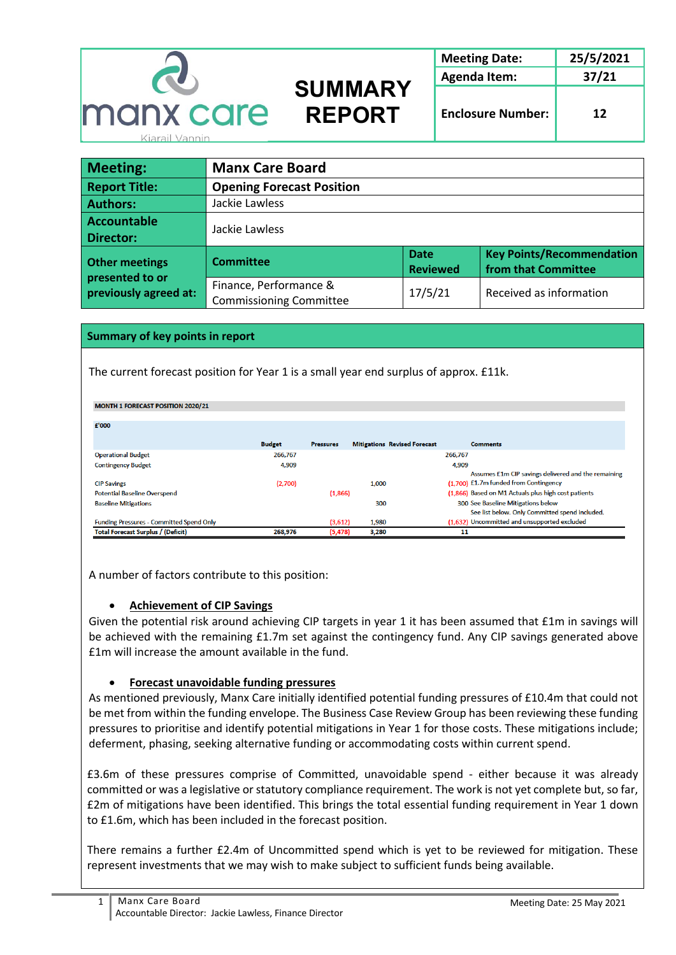

| Meeting:                                                          | <b>Manx Care Board</b>                                   |                                |                                                         |  |  |
|-------------------------------------------------------------------|----------------------------------------------------------|--------------------------------|---------------------------------------------------------|--|--|
| <b>Report Title:</b>                                              | <b>Opening Forecast Position</b>                         |                                |                                                         |  |  |
| <b>Authors:</b>                                                   | Jackie Lawless                                           |                                |                                                         |  |  |
| Accountable                                                       |                                                          |                                |                                                         |  |  |
| <b>Director:</b>                                                  | Jackie Lawless                                           |                                |                                                         |  |  |
| <b>Other meetings</b><br>presented to or<br>previously agreed at: | <b>Committee</b>                                         | <b>Date</b><br><b>Reviewed</b> | <b>Key Points/Recommendation</b><br>from that Committee |  |  |
|                                                                   | Finance, Performance &<br><b>Commissioning Committee</b> | 17/5/21                        | Received as information                                 |  |  |

### **Summary of key points in report**

The current forecast position for Year 1 is a small year end surplus of approx. £11k.

#### MONTH 1 FORECAST POSITION 2020/21

| £'000                                           |               |                  |                                     |                                                                                              |
|-------------------------------------------------|---------------|------------------|-------------------------------------|----------------------------------------------------------------------------------------------|
|                                                 | <b>Budget</b> | <b>Pressures</b> | <b>Mitigations Revised Forecast</b> | <b>Comments</b>                                                                              |
| <b>Operational Budget</b>                       | 266,767       |                  |                                     | 266,767                                                                                      |
| <b>Contingency Budget</b>                       | 4,909         |                  |                                     | 4,909                                                                                        |
| <b>CIP Savings</b>                              | (2,700)       |                  | 1.000                               | Assumes £1m CIP savings delivered and the remaining<br>(1.700) £1.7m funded from Contingency |
| <b>Potential Baseline Overspend</b>             |               | (1,866)          |                                     | (1.866) Based on M1 Actuals plus high cost patients                                          |
| <b>Baseline Mitigations</b>                     |               |                  | 300                                 | 300 See Baseline Mitigations below<br>See list below. Only Committed spend included.         |
| <b>Funding Pressures - Committed Spend Only</b> |               | (3,612)          | 1,980                               | (1,632) Uncommitted and unsupported excluded                                                 |
| <b>Total Forecast Surplus / (Deficit)</b>       | 268,976       | (5, 478)         | 3,280                               | 11                                                                                           |

A number of factors contribute to this position:

### • **Achievement of CIP Savings**

Given the potential risk around achieving CIP targets in year 1 it has been assumed that £1m in savings will be achieved with the remaining £1.7m set against the contingency fund. Any CIP savings generated above £1m will increase the amount available in the fund.

# • **Forecast unavoidable funding pressures**

As mentioned previously, Manx Care initially identified potential funding pressures of £10.4m that could not be met from within the funding envelope. The Business Case Review Group has been reviewing these funding pressures to prioritise and identify potential mitigations in Year 1 for those costs. These mitigations include; deferment, phasing, seeking alternative funding or accommodating costs within current spend.

£3.6m of these pressures comprise of Committed, unavoidable spend - either because it was already committed or was a legislative or statutory compliance requirement. The work is not yet complete but, so far, £2m of mitigations have been identified. This brings the total essential funding requirement in Year 1 down to £1.6m, which has been included in the forecast position.

There remains a further £2.4m of Uncommitted spend which is yet to be reviewed for mitigation. These represent investments that we may wish to make subject to sufficient funds being available.